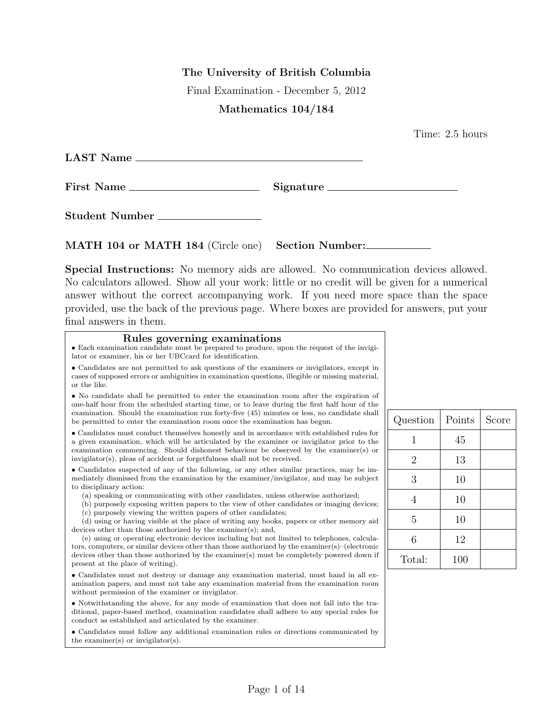The University of British Columbia

Final Examination - December 5, 2012

## Mathematics 104/184

Time: 2.5 hours

| LAST Name      |           |
|----------------|-----------|
| First Name     | Signature |
| Student Number |           |

MATH 104 or MATH 184 (Circle one) Section Number:

Special Instructions: No memory aids are allowed. No communication devices allowed. No calculators allowed. Show all your work; little or no credit will be given for a numerical answer without the correct accompanying work. If you need more space than the space provided, use the back of the previous page. Where boxes are provided for answers, put your final answers in them.

## Rules governing examinations

• Each examination candidate must be prepared to produce, upon the request of the invigilator or examiner, his or her UBCcard for identification.

• Candidates are not permitted to ask questions of the examiners or invigilators, except in cases of supposed errors or ambiguities in examination questions, illegible or missing material, or the like.

• No candidate shall be permitted to enter the examination room after the expiration of one-half hour from the scheduled starting time, or to leave during the first half hour of the examination. Should the examination run forty-five (45) minutes or less, no candidate shall be permitted to enter the examination room once the examination has begun.

• Candidates must conduct themselves honestly and in accordance with established rules for a given examination, which will be articulated by the examiner or invigilator prior to the examination commencing. Should dishonest behaviour be observed by the examiner(s) or invigilator(s), pleas of accident or forgetfulness shall not be received.

• Candidates suspected of any of the following, or any other similar practices, may be immediately dismissed from the examination by the examiner/invigilator, and may be subject to disciplinary action:

- (a) speaking or communicating with other candidates, unless otherwise authorized;
- (b) purposely exposing written papers to the view of other candidates or imaging devices;
- (c) purposely viewing the written papers of other candidates;

(d) using or having visible at the place of writing any books, papers or other memory aid devices other than those authorized by the examiner(s); and,

(e) using or operating electronic devices including but not limited to telephones, calculators, computers, or similar devices other than those authorized by the examiner(s)–(electronic devices other than those authorized by the examiner(s) must be completely powered down if present at the place of writing).

• Candidates must not destroy or damage any examination material, must hand in all examination papers, and must not take any examination material from the examination room without permission of the examiner or invigilator.

• Notwithstanding the above, for any mode of examination that does not fall into the traditional, paper-based method, examination candidates shall adhere to any special rules for conduct as established and articulated by the examiner.

• Candidates must follow any additional examination rules or directions communicated by the examiner(s) or invigilator(s).

| Question       | Points | Score |
|----------------|--------|-------|
| 1              | 45     |       |
| $\overline{2}$ | 13     |       |
| 3              | 10     |       |
| 4              | 10     |       |
| 5              | 10     |       |
| 6              | 12     |       |
| Total:         | 100    |       |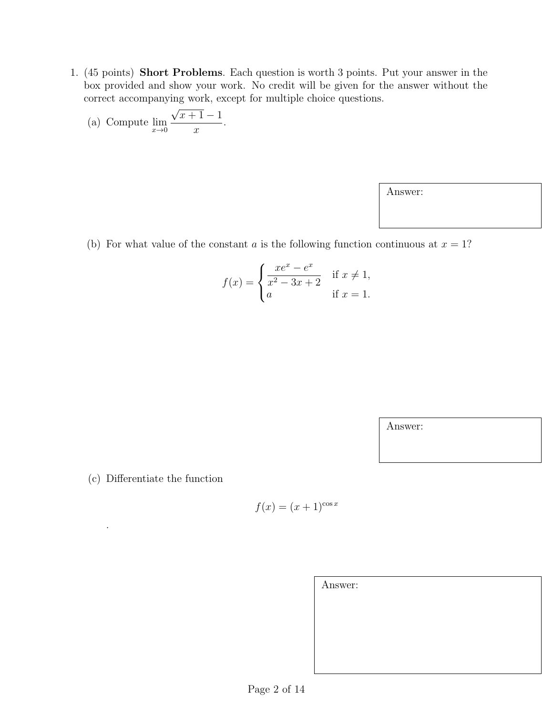1. (45 points) Short Problems. Each question is worth 3 points. Put your answer in the box provided and show your work. No credit will be given for the answer without the correct accompanying work, except for multiple choice questions.

(a) Compute 
$$
\lim_{x\to 0} \frac{\sqrt{x+1}-1}{x}
$$
.

Answer:

(b) For what value of the constant a is the following function continuous at  $x = 1$ ?

$$
f(x) = \begin{cases} \frac{xe^x - e^x}{x^2 - 3x + 2} & \text{if } x \neq 1, \\ a & \text{if } x = 1. \end{cases}
$$

Answer:

(c) Differentiate the function

.

$$
f(x) = (x+1)^{\cos x}
$$

| Answer: |  |  |  |
|---------|--|--|--|
|         |  |  |  |
|         |  |  |  |
|         |  |  |  |
|         |  |  |  |
|         |  |  |  |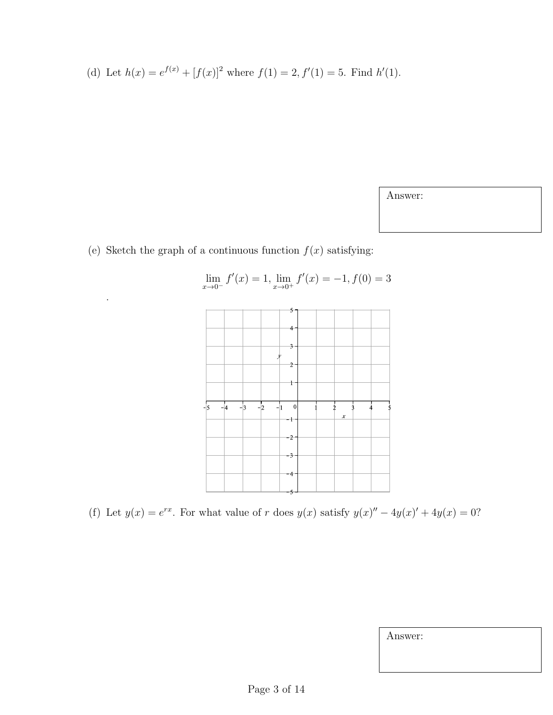(d) Let 
$$
h(x) = e^{f(x)} + [f(x)]^2
$$
 where  $f(1) = 2$ ,  $f'(1) = 5$ . Find  $h'(1)$ .

Answer:

(e) Sketch the graph of a continuous function  $f(x)$  satisfying:

.



$$
\lim_{x \to 0^-} f'(x) = 1, \lim_{x \to 0^+} f'(x) = -1, f(0) = 3
$$

(f) Let  $y(x) = e^{rx}$ . For what value of r does  $y(x)$  satisfy  $y(x)'' - 4y(x)' + 4y(x) = 0$ ?

Answer: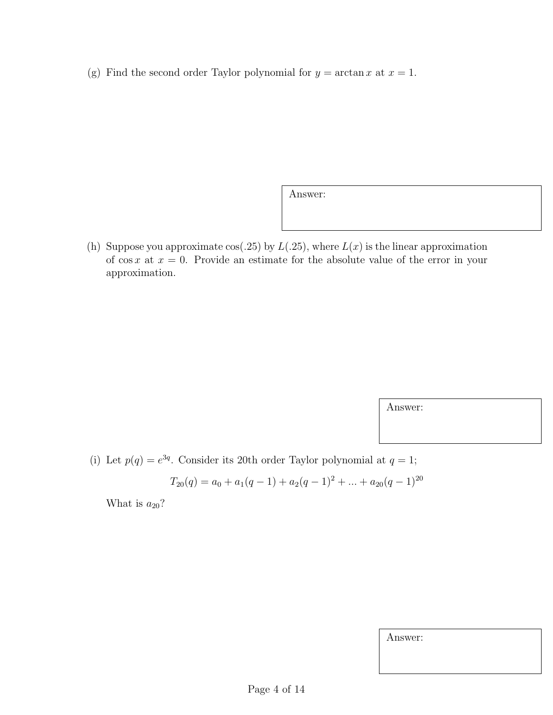(g) Find the second order Taylor polynomial for  $y = \arctan x$  at  $x = 1$ .

Answer:

(h) Suppose you approximate cos(.25) by  $L(.25)$ , where  $L(x)$  is the linear approximation of cos x at  $x = 0$ . Provide an estimate for the absolute value of the error in your approximation.

Answer:

(i) Let  $p(q) = e^{3q}$ . Consider its 20th order Taylor polynomial at  $q = 1$ ;

$$
T_{20}(q) = a_0 + a_1(q-1) + a_2(q-1)^2 + \dots + a_{20}(q-1)^{20}
$$

What is  $a_{20}$ ?

| Answer: |
|---------|
|---------|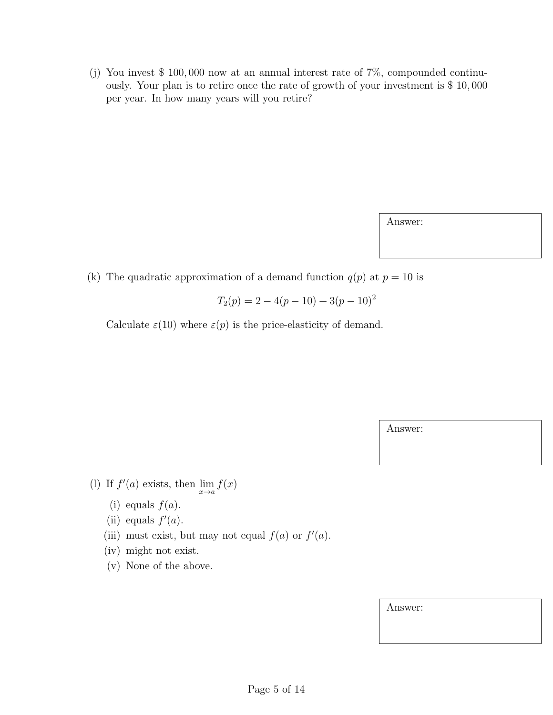(j) You invest \$ 100, 000 now at an annual interest rate of 7%, compounded continuously. Your plan is to retire once the rate of growth of your investment is \$ 10, 000 per year. In how many years will you retire?

Answer:

(k) The quadratic approximation of a demand function  $q(p)$  at  $p = 10$  is

$$
T_2(p) = 2 - 4(p - 10) + 3(p - 10)^2
$$

Calculate  $\varepsilon(10)$  where  $\varepsilon(p)$  is the price-elasticity of demand.

Answer:

(l) If  $f'(a)$  exists, then  $\lim_{x\to a} f(x)$ 

- (i) equals  $f(a)$ .
- (ii) equals  $f'(a)$ .
- (iii) must exist, but may not equal  $f(a)$  or  $f'(a)$ .
- (iv) might not exist.
- (v) None of the above.

Answer: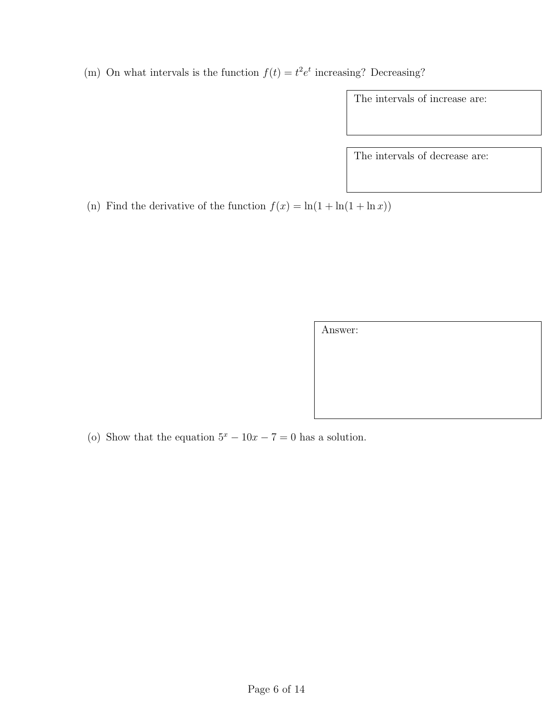(m) On what intervals is the function  $f(t) = t^2 e^t$  increasing? Decreasing?

The intervals of increase are:

The intervals of decrease are:

(n) Find the derivative of the function  $f(x) = \ln(1 + \ln(1 + \ln x))$ 

Answer:

(o) Show that the equation  $5^x - 10x - 7 = 0$  has a solution.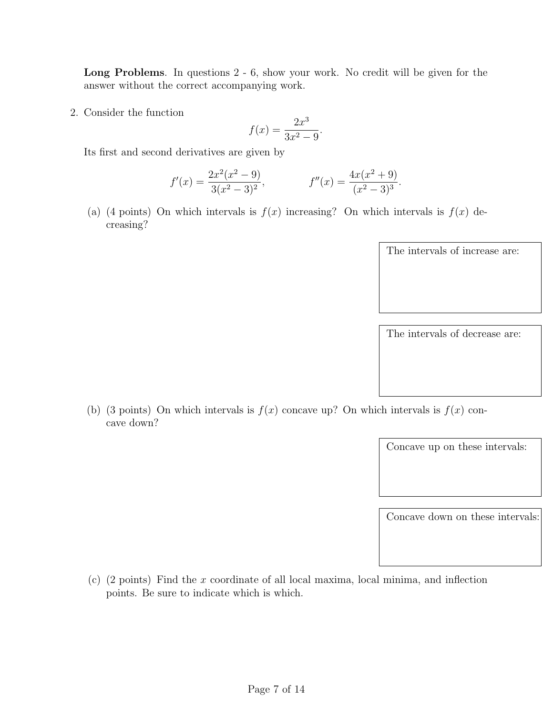Long Problems. In questions 2 - 6, show your work. No credit will be given for the answer without the correct accompanying work.

2. Consider the function

cave down?

$$
f(x) = \frac{2x^3}{3x^2 - 9}.
$$

Its first and second derivatives are given by

$$
f'(x) = \frac{2x^2(x^2 - 9)}{3(x^2 - 3)^2}, \qquad f''(x) = \frac{4x(x^2 + 9)}{(x^2 - 3)^3}.
$$

(a) (4 points) On which intervals is  $f(x)$  increasing? On which intervals is  $f(x)$  decreasing?

| The intervals of increase are: |
|--------------------------------|
|                                |
|                                |
|                                |
|                                |
| The intervals of decrease are: |

(b) (3 points) On which intervals is  $f(x)$  concave up? On which intervals is  $f(x)$  con-

Concave up on these intervals:

Concave down on these intervals:

(c) (2 points) Find the x coordinate of all local maxima, local minima, and inflection points. Be sure to indicate which is which.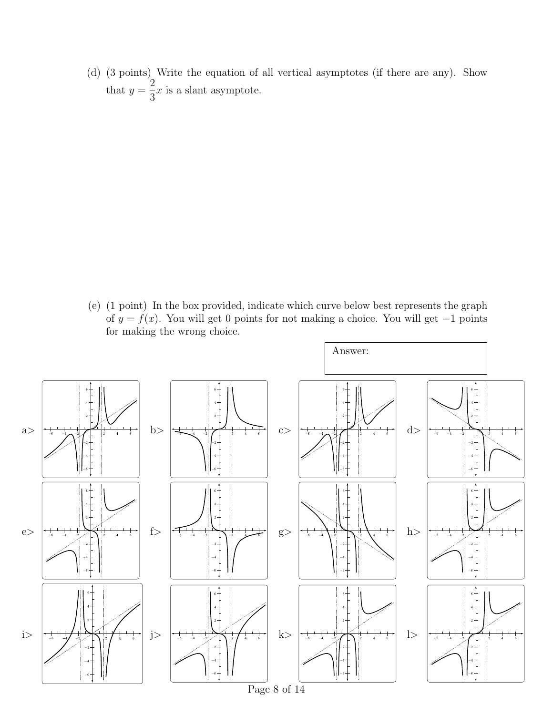(d) (3 points) Write the equation of all vertical asymptotes (if there are any). Show that  $y =$ 2 3  $x$  is a slant asymptote.

(e) (1 point) In the box provided, indicate which curve below best represents the graph of  $y = f(x)$ . You will get 0 points for not making a choice. You will get -1 points for making the wrong choice.

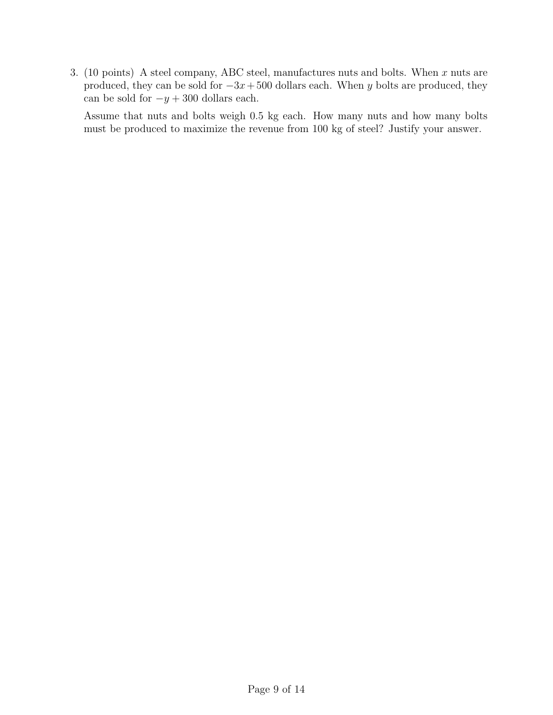3. (10 points) A steel company, ABC steel, manufactures nuts and bolts. When  $x$  nuts are produced, they can be sold for  $-3x+500$  dollars each. When y bolts are produced, they can be sold for  $-y + 300$  dollars each.

Assume that nuts and bolts weigh 0.5 kg each. How many nuts and how many bolts must be produced to maximize the revenue from 100 kg of steel? Justify your answer.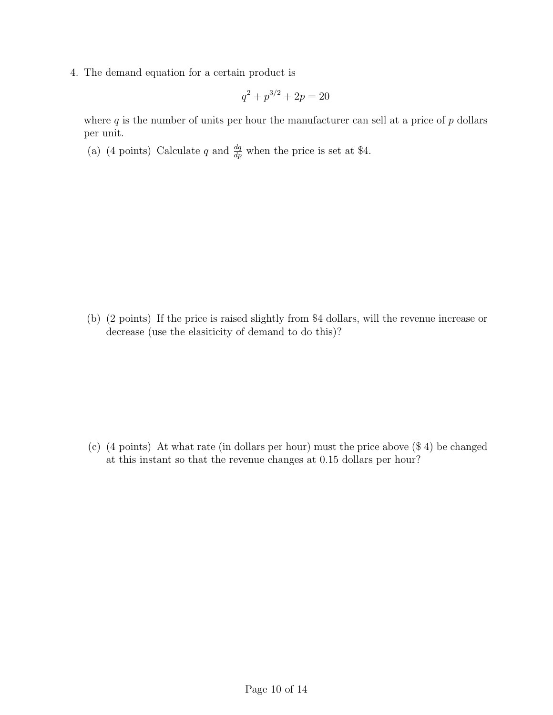4. The demand equation for a certain product is

$$
q^2 + p^{3/2} + 2p = 20
$$

where  $q$  is the number of units per hour the manufacturer can sell at a price of  $p$  dollars per unit.

(a) (4 points) Calculate q and  $\frac{dq}{dp}$  when the price is set at \$4.

(b) (2 points) If the price is raised slightly from \$4 dollars, will the revenue increase or decrease (use the elasiticity of demand to do this)?

(c) (4 points) At what rate (in dollars per hour) must the price above (\$ 4) be changed at this instant so that the revenue changes at 0.15 dollars per hour?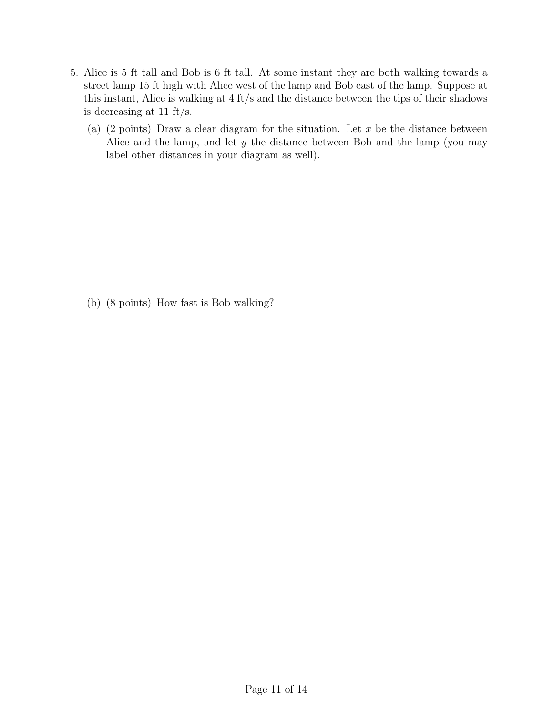- 5. Alice is 5 ft tall and Bob is 6 ft tall. At some instant they are both walking towards a street lamp 15 ft high with Alice west of the lamp and Bob east of the lamp. Suppose at this instant, Alice is walking at 4 ft/s and the distance between the tips of their shadows is decreasing at 11 ft/s.
	- (a) (2 points) Draw a clear diagram for the situation. Let  $x$  be the distance between Alice and the lamp, and let y the distance between Bob and the lamp (you may label other distances in your diagram as well).

(b) (8 points) How fast is Bob walking?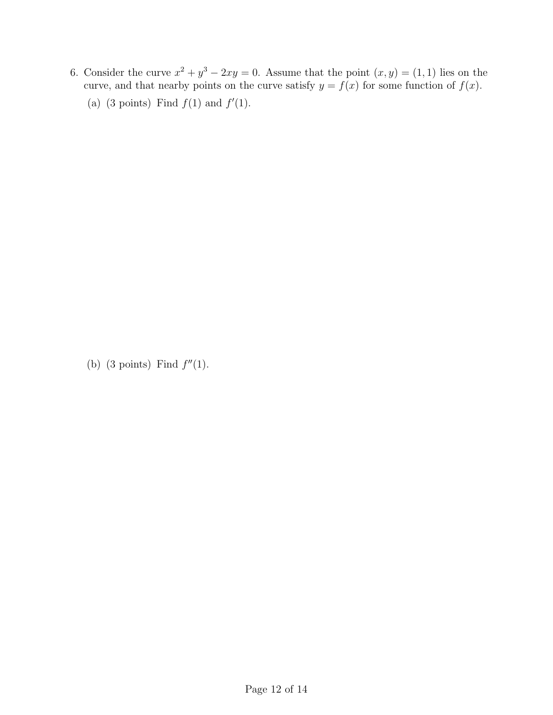6. Consider the curve  $x^2 + y^3 - 2xy = 0$ . Assume that the point  $(x, y) = (1, 1)$  lies on the curve, and that nearby points on the curve satisfy  $y = f(x)$  for some function of  $f(x)$ . (a) (3 points) Find  $f(1)$  and  $f'(1)$ .

(b) (3 points) Find  $f''(1)$ .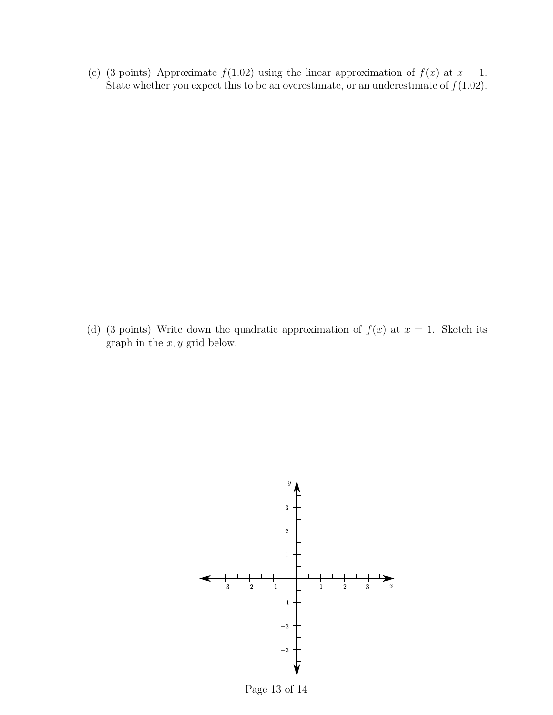(c) (3 points) Approximate  $f(1.02)$  using the linear approximation of  $f(x)$  at  $x = 1$ . State whether you expect this to be an overestimate, or an underestimate of  $f(1.02)$ .

(d) (3 points) Write down the quadratic approximation of  $f(x)$  at  $x = 1$ . Sketch its graph in the  $x, y$  grid below.